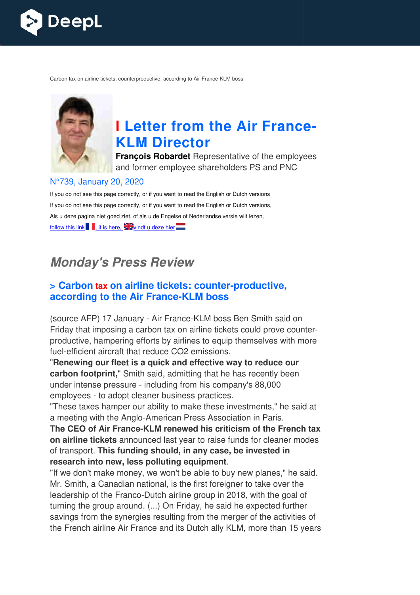

Carbon tax on airline tickets: counterproductive, according to Air France-KLM boss



# **I** Letter from the Air France-**KLM Director**

**François Robardet** Representative of the employees and former employee shareholders PS and PNC

#### N°739, January 20, 2020

If you do not see this page correctly, or if you want to read the English or Dutch versions If you do not see this page correctly, or if you want to read the English or Dutch versions, Als u deze pagina niet goed ziet, of als u de Engelse of Nederlandse versie wilt lezen, follow this link , it is here,  $\frac{1}{2}$  windt u deze hier

# **Monday's Press Review**

#### **> Carbon tax on airline tickets: counter counter-productive, according to the Air France France-KLM boss**

(source AFP) 17 January - Air France-KLM boss Ben Smith said on Friday that imposing a carbon tax on airline tickets could prove counter counterproductive, hampering efforts by airlines to equip themselves with more fuel-efficient aircraft that reduce CO2 emissions.

"**Renewing our fleet is a quick and effective way to reduce our carbon footprint,**" Smith said, admitting that he has recently been under intense pressure - including from his company's 88,000 employees - to adopt cleaner business practices.

"These taxes hamper our ability to make these investments," he said at "These taxes hamper our ability to make these investments," he<br>a meeting with the Anglo-American Press Association in Paris.

The CEO of Air France-KLM renewed his criticism of the French tax **on airline tickets** announced last year to raise funds for cleaner modes of transport. **This funding should, in any case, be invested in research into new, less polluting equipment** .

"If we don't make money, we won't be able to buy new planes," he said. Mr. Smith, a Canadian national, is the first foreigner to take over the leadership of the Franco-Dutch airline group in 2018, with the goal of turning the group around. (...) On Friday, he said he expected further savings from the synergies resulting from the merger of the activities of the French airline Air France and its Dutch ally KLM, more than 15 years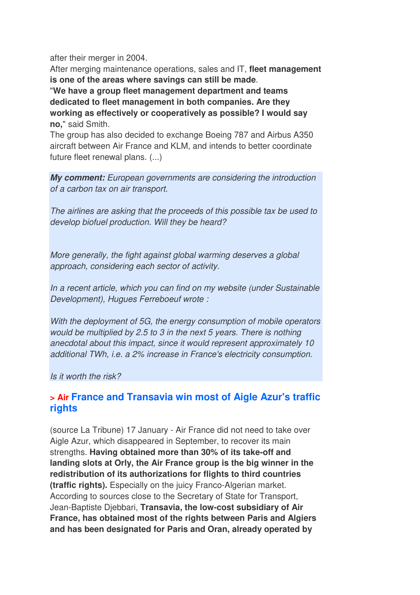after their merger in 2004.

After merging maintenance operations, sales and IT, **fleet management is one of the areas where savings can still be made**.

"**We have a group fleet management department and teams dedicated to fleet management in both companies. Are they working as effectively or cooperatively as possible? I would say no,**" said Smith.

The group has also decided to exchange Boeing 787 and Airbus A350 aircraft between Air France and KLM, and intends to better coordinate future fleet renewal plans. (...)

**My comment:** *European governments are considering the introduction of a carbon tax on air transport.* 

*The airlines are asking that the proceeds of this possible tax be used to develop biofuel production. Will they be heard?* 

*More generally, the fight against global warming deserves a global approach, considering each sector of activity.* 

*In a recent article, which you can find on my website (under Sustainable Development), Hugues Ferreboeuf wrote :* 

*With the deployment of 5G, the energy consumption of mobile operators would be multiplied by 2.5 to 3 in the next 5 years. There is nothing anecdotal about this impact, since it would represent approximately 10 additional TWh, i.e. a 2% increase in France's electricity consumption.* 

*Is it worth the risk?*

#### **> Air France and Transavia win most of Aigle Azur's traffic rights**

(source La Tribune) 17 January - Air France did not need to take over Aigle Azur, which disappeared in September, to recover its main strengths. **Having obtained more than 30% of its take-off and landing slots at Orly, the Air France group is the big winner in the redistribution of its authorizations for flights to third countries (traffic rights).** Especially on the juicy Franco-Algerian market. According to sources close to the Secretary of State for Transport, Jean-Baptiste Djebbari, **Transavia, the low-cost subsidiary of Air France, has obtained most of the rights between Paris and Algiers and has been designated for Paris and Oran, already operated by**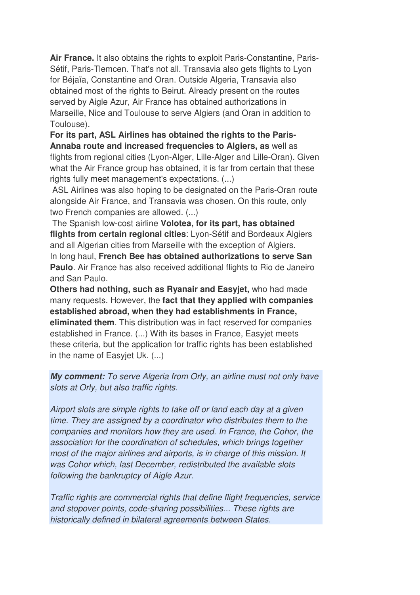**Air France.** It also obtains the rights to exploit Paris-Constantine, Paris-Sétif, Paris-Tlemcen. That's not all. Transavia also gets flights to Lyon for Béjaïa, Constantine and Oran. Outside Algeria, Transavia also obtained most of the rights to Beirut. Already present on the routes served by Aigle Azur, Air France has obtained authorizations in Marseille, Nice and Toulouse to serve Algiers (and Oran in addition to Toulouse).

**For its part, ASL Airlines has obtained the rights to the Paris-Annaba route and increased frequencies to Algiers, as** well as flights from regional cities (Lyon-Alger, Lille-Alger and Lille-Oran). Given what the Air France group has obtained, it is far from certain that these rights fully meet management's expectations. (...)

 ASL Airlines was also hoping to be designated on the Paris-Oran route alongside Air France, and Transavia was chosen. On this route, only two French companies are allowed. (...)

 The Spanish low-cost airline **Volotea, for its part, has obtained flights from certain regional cities**: Lyon-Sétif and Bordeaux Algiers and all Algerian cities from Marseille with the exception of Algiers. In long haul, **French Bee has obtained authorizations to serve San Paulo**. Air France has also received additional flights to Rio de Janeiro and San Paulo.

**Others had nothing, such as Ryanair and Easyjet,** who had made many requests. However, the **fact that they applied with companies established abroad, when they had establishments in France, eliminated them**. This distribution was in fact reserved for companies established in France. (...) With its bases in France, Easyjet meets these criteria, but the application for traffic rights has been established in the name of Easyjet Uk. (...)

**My comment:** *To serve Algeria from Orly, an airline must not only have slots at Orly, but also traffic rights.* 

*Airport slots are simple rights to take off or land each day at a given time. They are assigned by a coordinator who distributes them to the companies and monitors how they are used. In France, the Cohor, the association for the coordination of schedules, which brings together most of the major airlines and airports, is in charge of this mission. It was Cohor which, last December, redistributed the available slots following the bankruptcy of Aigle Azur.* 

*Traffic rights are commercial rights that define flight frequencies, service and stopover points, code-sharing possibilities... These rights are historically defined in bilateral agreements between States.*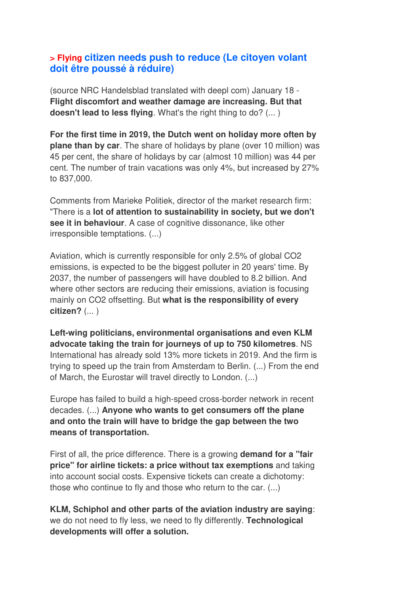#### **> Flying citizen needs push to reduce (Le citoyen volant doit être poussé à réduire)**

(source NRC Handelsblad translated with deepl com) January 18 - **Flight discomfort and weather damage are increasing. But that doesn't lead to less flying**. What's the right thing to do? (... )

**For the first time in 2019, the Dutch went on holiday more often by plane than by car**. The share of holidays by plane (over 10 million) was 45 per cent, the share of holidays by car (almost 10 million) was 44 per cent. The number of train vacations was only 4%, but increased by 27% to 837,000.

Comments from Marieke Politiek, director of the market research firm: "There is a **lot of attention to sustainability in society, but we don't see it in behaviour**. A case of cognitive dissonance, like other irresponsible temptations. (...)

Aviation, which is currently responsible for only 2.5% of global CO2 emissions, is expected to be the biggest polluter in 20 years' time. By 2037, the number of passengers will have doubled to 8.2 billion. And where other sectors are reducing their emissions, aviation is focusing mainly on CO2 offsetting. But **what is the responsibility of every citizen?** (... )

**Left-wing politicians, environmental organisations and even KLM advocate taking the train for journeys of up to 750 kilometres**. NS International has already sold 13% more tickets in 2019. And the firm is trying to speed up the train from Amsterdam to Berlin. (...) From the end of March, the Eurostar will travel directly to London. (...)

Europe has failed to build a high-speed cross-border network in recent decades. (...) **Anyone who wants to get consumers off the plane and onto the train will have to bridge the gap between the two means of transportation.** 

First of all, the price difference. There is a growing **demand for a "fair price" for airline tickets: a price without tax exemptions** and taking into account social costs. Expensive tickets can create a dichotomy: those who continue to fly and those who return to the car. (...)

**KLM, Schiphol and other parts of the aviation industry are saying**: we do not need to fly less, we need to fly differently. **Technological developments will offer a solution.**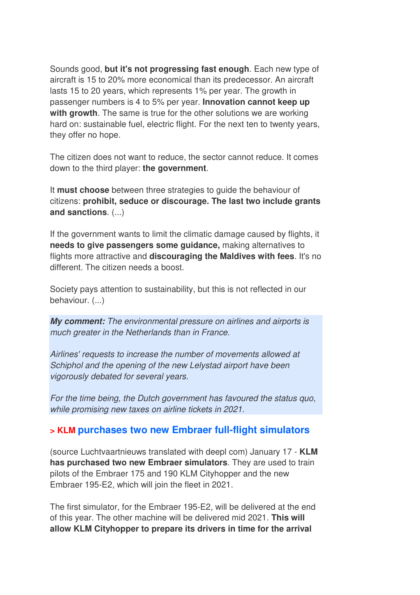Sounds good, **but it's not progressing fast enough**. Each new type of aircraft is 15 to 20% more economical than its predecessor. An aircraft lasts 15 to 20 years, which represents 1% per year. The growth in passenger numbers is 4 to 5% per year. **Innovation cannot keep up with growth**. The same is true for the other solutions we are working hard on: sustainable fuel, electric flight. For the next ten to twenty years, they offer no hope.

The citizen does not want to reduce, the sector cannot reduce. It comes down to the third player: **the government**.

It **must choose** between three strategies to guide the behaviour of citizens: **prohibit, seduce or discourage. The last two include grants and sanctions**. (...)

If the government wants to limit the climatic damage caused by flights, it **needs to give passengers some guidance,** making alternatives to flights more attractive and **discouraging the Maldives with fees**. It's no different. The citizen needs a boost.

Society pays attention to sustainability, but this is not reflected in our behaviour. (...)

**My comment:** *The environmental pressure on airlines and airports is much greater in the Netherlands than in France.* 

*Airlines' requests to increase the number of movements allowed at Schiphol and the opening of the new Lelystad airport have been vigorously debated for several years.* 

*For the time being, the Dutch government has favoured the status quo, while promising new taxes on airline tickets in 2021.*

#### **> KLM purchases two new Embraer full-flight simulators**

(source Luchtvaartnieuws translated with deepl com) January 17 - **KLM has purchased two new Embraer simulators**. They are used to train pilots of the Embraer 175 and 190 KLM Cityhopper and the new Embraer 195-E2, which will join the fleet in 2021.

The first simulator, for the Embraer 195-E2, will be delivered at the end of this year. The other machine will be delivered mid 2021. **This will allow KLM Cityhopper to prepare its drivers in time for the arrival**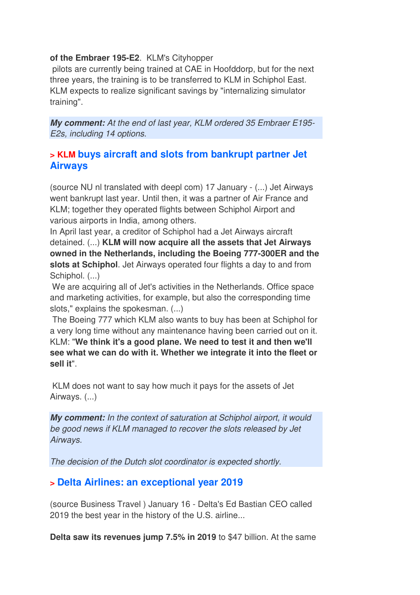#### **of the Embraer 195-E2**. KLM's Cityhopper

 pilots are currently being trained at CAE in Hoofddorp, but for the next three years, the training is to be transferred to KLM in Schiphol East. KLM expects to realize significant savings by "internalizing simulator training".

**My comment:** *At the end of last year, KLM ordered 35 Embraer E195- E2s, including 14 options*.

#### **> KLM buys aircraft and slots from bankrupt partner Jet Airways**

(source NU nl translated with deepl com) 17 January - (...) Jet Airways went bankrupt last year. Until then, it was a partner of Air France and KLM; together they operated flights between Schiphol Airport and various airports in India, among others.

In April last year, a creditor of Schiphol had a Jet Airways aircraft detained. (...) **KLM will now acquire all the assets that Jet Airways owned in the Netherlands, including the Boeing 777-300ER and the slots at Schiphol**. Jet Airways operated four flights a day to and from Schiphol. (...)

 We are acquiring all of Jet's activities in the Netherlands. Office space and marketing activities, for example, but also the corresponding time slots," explains the spokesman. (...)

 The Boeing 777 which KLM also wants to buy has been at Schiphol for a very long time without any maintenance having been carried out on it. KLM: "**We think it's a good plane. We need to test it and then we'll see what we can do with it. Whether we integrate it into the fleet or sell it**".

 KLM does not want to say how much it pays for the assets of Jet Airways. (...)

**My comment:** *In the context of saturation at Schiphol airport, it would be good news if KLM managed to recover the slots released by Jet Airways.* 

*The decision of the Dutch slot coordinator is expected shortly.*

#### **> Delta Airlines: an exceptional year 2019**

(source Business Travel ) January 16 - Delta's Ed Bastian CEO called 2019 the best year in the history of the U.S. airline...

**Delta saw its revenues jump 7.5% in 2019** to \$47 billion. At the same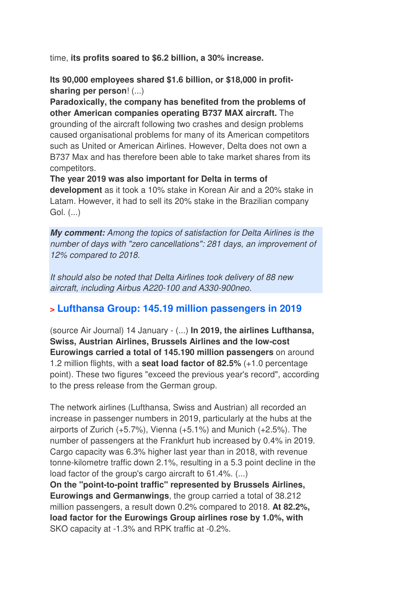time, **its profits soared to \$6.2 billion, a 30% increase.**

**Its 90,000 employees shared \$1.6 billion, or \$18,000 in profitsharing per person**! (...)

**Paradoxically, the company has benefited from the problems of other American companies operating B737 MAX aircraft.** The grounding of the aircraft following two crashes and design problems caused organisational problems for many of its American competitors such as United or American Airlines. However, Delta does not own a B737 Max and has therefore been able to take market shares from its competitors.

**The year 2019 was also important for Delta in terms of development** as it took a 10% stake in Korean Air and a 20% stake in Latam. However, it had to sell its 20% stake in the Brazilian company Gol. (...)

**My comment:** *Among the topics of satisfaction for Delta Airlines is the number of days with "zero cancellations": 281 days, an improvement of 12% compared to 2018.* 

*It should also be noted that Delta Airlines took delivery of 88 new aircraft, including Airbus A220-100 and A330-900neo.*

#### **> Lufthansa Group: 145.19 million passengers in 2019**

(source Air Journal) 14 January - (...) **In 2019, the airlines Lufthansa, Swiss, Austrian Airlines, Brussels Airlines and the low-cost Eurowings carried a total of 145.190 million passengers** on around 1.2 million flights, with a **seat load factor of 82.5%** (+1.0 percentage point). These two figures "exceed the previous year's record", according to the press release from the German group.

The network airlines (Lufthansa, Swiss and Austrian) all recorded an increase in passenger numbers in 2019, particularly at the hubs at the airports of Zurich  $(+5.7%)$ . Vienna  $(+5.1%)$  and Munich  $(+2.5%)$ . The number of passengers at the Frankfurt hub increased by 0.4% in 2019. Cargo capacity was 6.3% higher last year than in 2018, with revenue tonne-kilometre traffic down 2.1%, resulting in a 5.3 point decline in the load factor of the group's cargo aircraft to 61.4%. (...)

**On the "point-to-point traffic" represented by Brussels Airlines, Eurowings and Germanwings**, the group carried a total of 38.212 million passengers, a result down 0.2% compared to 2018. **At 82.2%, load factor for the Eurowings Group airlines rose by 1.0%, with** SKO capacity at -1.3% and RPK traffic at -0.2%.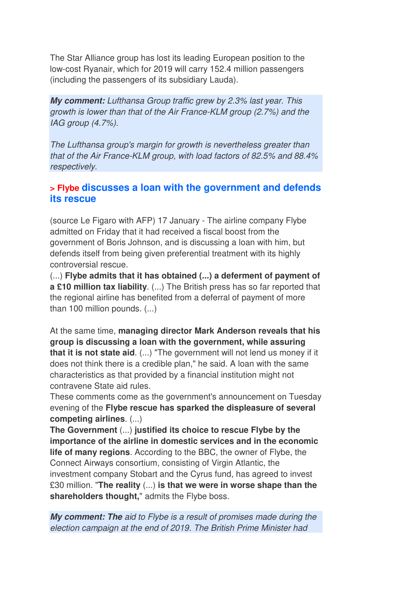The Star Alliance group has lost its leading European position to the low-cost Ryanair, which for 2019 will carry 152.4 million passengers (including the passengers of its subsidiary Lauda).

**My comment:** *Lufthansa Group traffic grew by 2.3% last year. This growth is lower than that of the Air France-KLM group (2.7%) and the IAG group (4.7%).* 

*The Lufthansa group's margin for growth is nevertheless greater than that of the Air France-KLM group, with load factors of 82.5% and 88.4% respectively.*

#### **> Flybe discusses a loan with the government and defends its rescue**

(source Le Figaro with AFP) 17 January - The airline company Flybe admitted on Friday that it had received a fiscal boost from the government of Boris Johnson, and is discussing a loan with him, but defends itself from being given preferential treatment with its highly controversial rescue.

(...) **Flybe admits that it has obtained (...) a deferment of payment of a £10 million tax liability**. (...) The British press has so far reported that the regional airline has benefited from a deferral of payment of more than 100 million pounds. (...)

At the same time, **managing director Mark Anderson reveals that his group is discussing a loan with the government, while assuring that it is not state aid**. (...) "The government will not lend us money if it does not think there is a credible plan," he said. A loan with the same characteristics as that provided by a financial institution might not contravene State aid rules.

These comments come as the government's announcement on Tuesday evening of the **Flybe rescue has sparked the displeasure of several competing airlines**. (...)

**The Government** (...) **justified its choice to rescue Flybe by the importance of the airline in domestic services and in the economic life of many regions**. According to the BBC, the owner of Flybe, the Connect Airways consortium, consisting of Virgin Atlantic, the investment company Stobart and the Cyrus fund, has agreed to invest £30 million. "**The reality** (...) **is that we were in worse shape than the shareholders thought,**" admits the Flybe boss.

**My comment: The** *aid to Flybe is a result of promises made during the election campaign at the end of 2019. The British Prime Minister had*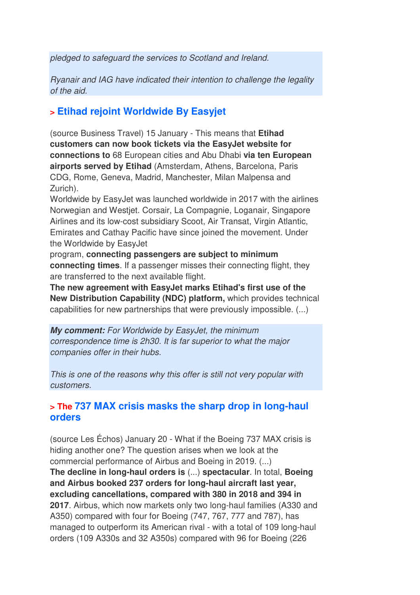*pledged to safeguard the services to Scotland and Ireland.* 

*Ryanair and IAG have indicated their intention to challenge the legality of the aid.*

### **> Etihad rejoint Worldwide By Easyjet**

(source Business Travel) 15 January - This means that **Etihad customers can now book tickets via the EasyJet website for connections to** 68 European cities and Abu Dhabi **via ten European airports served by Etihad** (Amsterdam, Athens, Barcelona, Paris CDG, Rome, Geneva, Madrid, Manchester, Milan Malpensa and Zurich).

Worldwide by EasyJet was launched worldwide in 2017 with the airlines Norwegian and Westjet. Corsair, La Compagnie, Loganair, Singapore Airlines and its low-cost subsidiary Scoot, Air Transat, Virgin Atlantic, Emirates and Cathay Pacific have since joined the movement. Under the Worldwide by EasyJet

program, **connecting passengers are subject to minimum connecting times**. If a passenger misses their connecting flight, they are transferred to the next available flight.

**The new agreement with EasyJet marks Etihad's first use of the New Distribution Capability (NDC) platform,** which provides technical capabilities for new partnerships that were previously impossible. (...)

**My comment:** *For Worldwide by EasyJet, the minimum correspondence time is 2h30. It is far superior to what the major companies offer in their hubs.* 

*This is one of the reasons why this offer is still not very popular with customers.*

#### **> The 737 MAX crisis masks the sharp drop in long-haul orders**

(source Les Échos) January 20 - What if the Boeing 737 MAX crisis is hiding another one? The question arises when we look at the commercial performance of Airbus and Boeing in 2019. (...) **The decline in long-haul orders is** (...) **spectacular**. In total, **Boeing and Airbus booked 237 orders for long-haul aircraft last year, excluding cancellations, compared with 380 in 2018 and 394 in 2017**. Airbus, which now markets only two long-haul families (A330 and A350) compared with four for Boeing (747, 767, 777 and 787), has managed to outperform its American rival - with a total of 109 long-haul orders (109 A330s and 32 A350s) compared with 96 for Boeing (226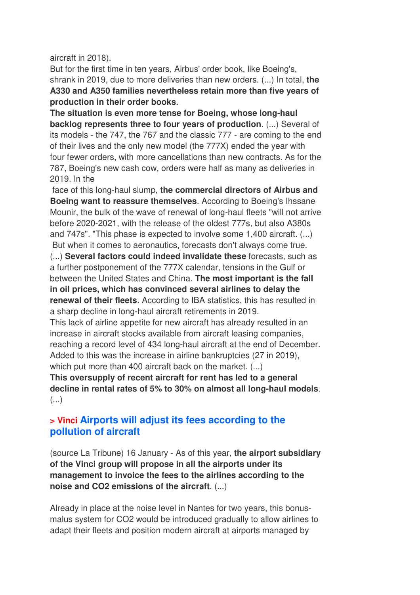aircraft in 2018).

But for the first time in ten years, Airbus' order book, like Boeing's, shrank in 2019, due to more deliveries than new orders. (...) In total, **the A330 and A350 families nevertheless retain more than five years of production in their order books**.

**The situation is even more tense for Boeing, whose long-haul backlog represents three to four years of production**. (...) Several of its models - the 747, the 767 and the classic 777 - are coming to the end of their lives and the only new model (the 777X) ended the year with four fewer orders, with more cancellations than new contracts. As for the 787, Boeing's new cash cow, orders were half as many as deliveries in 2019. In the

 face of this long-haul slump, **the commercial directors of Airbus and Boeing want to reassure themselves**. According to Boeing's Ihssane Mounir, the bulk of the wave of renewal of long-haul fleets "will not arrive before 2020-2021, with the release of the oldest 777s, but also A380s and 747s". "This phase is expected to involve some 1,400 aircraft. (...) But when it comes to aeronautics, forecasts don't always come true.

(...) **Several factors could indeed invalidate these** forecasts, such as a further postponement of the 777X calendar, tensions in the Gulf or between the United States and China. **The most important is the fall in oil prices, which has convinced several airlines to delay the renewal of their fleets**. According to IBA statistics, this has resulted in a sharp decline in long-haul aircraft retirements in 2019.

This lack of airline appetite for new aircraft has already resulted in an increase in aircraft stocks available from aircraft leasing companies, reaching a record level of 434 long-haul aircraft at the end of December. Added to this was the increase in airline bankruptcies (27 in 2019), which put more than 400 aircraft back on the market. (...)

**This oversupply of recent aircraft for rent has led to a general decline in rental rates of 5% to 30% on almost all long-haul models**. (...)

#### **> Vinci Airports will adjust its fees according to the pollution of aircraft**

(source La Tribune) 16 January - As of this year, **the airport subsidiary of the Vinci group will propose in all the airports under its management to invoice the fees to the airlines according to the noise and CO2 emissions of the aircraft**. (...)

Already in place at the noise level in Nantes for two years, this bonusmalus system for CO2 would be introduced gradually to allow airlines to adapt their fleets and position modern aircraft at airports managed by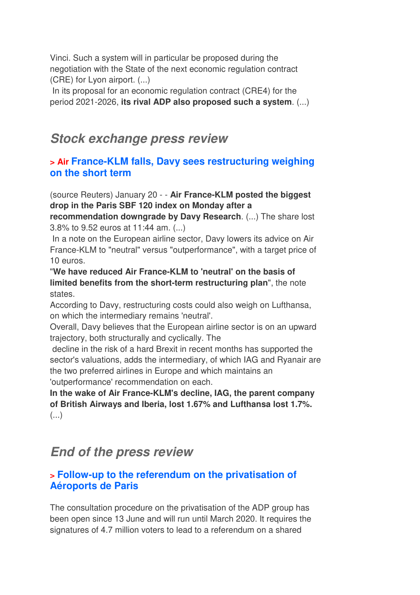Vinci. Such a system will in particular be proposed during the negotiation with the State of the next economic regulation contract (CRE) for Lyon airport. (...)

In its proposal for an economic regulation contract (CRE4) for the period 2021-2026, **its rival ADP also proposed such a system**. (...)

## **Stock exchange press review**

### **> Air France-KLM falls, Davy sees restructuring weighing on the short term**

(source Reuters) January 20 - - **Air France-KLM posted the biggest drop in the Paris SBF 120 index on Monday after a** 

**recommendation downgrade by Davy Research**. (...) The share lost 3.8% to 9.52 euros at 11:44 am. (...)

 In a note on the European airline sector, Davy lowers its advice on Air France-KLM to "neutral" versus "outperformance", with a target price of 10 euros.

"**We have reduced Air France-KLM to 'neutral' on the basis of limited benefits from the short-term restructuring plan**", the note states.

According to Davy, restructuring costs could also weigh on Lufthansa, on which the intermediary remains 'neutral'.

Overall, Davy believes that the European airline sector is on an upward trajectory, both structurally and cyclically. The

 decline in the risk of a hard Brexit in recent months has supported the sector's valuations, adds the intermediary, of which IAG and Ryanair are the two preferred airlines in Europe and which maintains an 'outperformance' recommendation on each.

**In the wake of Air France-KLM's decline, IAG, the parent company of British Airways and Iberia, lost 1.67% and Lufthansa lost 1.7%.**  (...)

# **End of the press review**

#### **> Follow-up to the referendum on the privatisation of Aéroports de Paris**

The consultation procedure on the privatisation of the ADP group has been open since 13 June and will run until March 2020. It requires the signatures of 4.7 million voters to lead to a referendum on a shared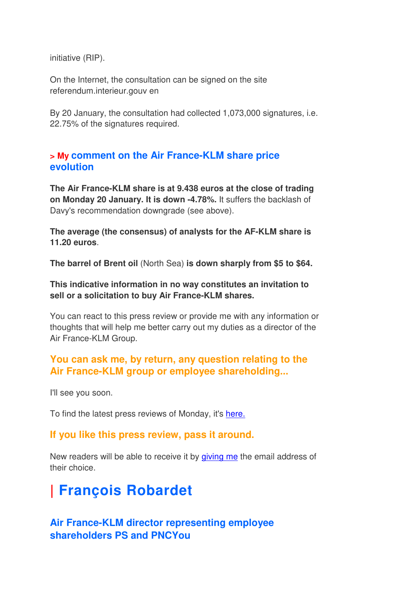initiative (RIP).

On the Internet, the consultation can be signed on the site referendum.interieur.gouv en

By 20 January, the consultation had collected 1,073,000 signatures, i.e. 22.75% of the signatures required.

#### **> My comment on the Air France-KLM share price evolution**

**The Air France-KLM share is at 9.438 euros at the close of trading on Monday 20 January. It is down -4.78%.** It suffers the backlash of Davy's recommendation downgrade (see above).

**The average (the consensus) of analysts for the AF-KLM share is 11.20 euros**.

**The barrel of Brent oil** (North Sea) **is down sharply from \$5 to \$64.**

**This indicative information in no way constitutes an invitation to sell or a solicitation to buy Air France-KLM shares.**

You can react to this press review or provide me with any information or thoughts that will help me better carry out my duties as a director of the Air France-KLM Group.

#### **You can ask me, by return, any question relating to the Air France-KLM group or employee shareholding...**

I'll see you soon.

To find the latest press reviews of Monday, it's here.

#### **If you like this press review, pass it around.**

New readers will be able to receive it by giving me the email address of their choice.

# **| François Robardet**

### **Air France-KLM director representing employee shareholders PS and PNCYou**